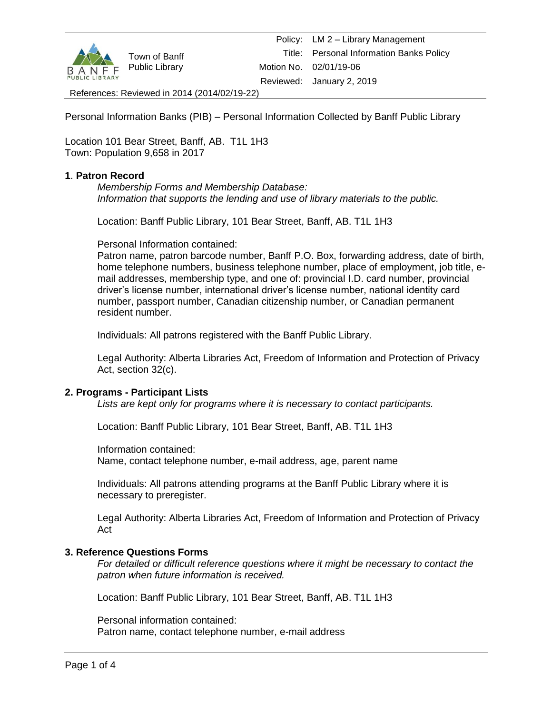

Personal Information Banks (PIB) – Personal Information Collected by Banff Public Library

Location 101 Bear Street, Banff, AB. T1L 1H3 Town: Population 9,658 in 2017

## **1**. **Patron Record**

*Membership Forms and Membership Database: Information that supports the lending and use of library materials to the public.*

Location: Banff Public Library, 101 Bear Street, Banff, AB. T1L 1H3

Personal Information contained:

Patron name, patron barcode number, Banff P.O. Box, forwarding address, date of birth, home telephone numbers, business telephone number, place of employment, job title, email addresses, membership type, and one of: provincial I.D. card number, provincial driver's license number, international driver's license number, national identity card number, passport number, Canadian citizenship number, or Canadian permanent resident number.

Individuals: All patrons registered with the Banff Public Library.

Legal Authority: Alberta Libraries Act, Freedom of Information and Protection of Privacy Act, section 32(c).

## **2. Programs - Participant Lists**

*Lists are kept only for programs where it is necessary to contact participants.*

Location: Banff Public Library, 101 Bear Street, Banff, AB. T1L 1H3

Information contained:

Name, contact telephone number, e-mail address, age, parent name

Individuals: All patrons attending programs at the Banff Public Library where it is necessary to preregister.

Legal Authority: Alberta Libraries Act, Freedom of Information and Protection of Privacy Act

## **3. Reference Questions Forms**

*For detailed or difficult reference questions where it might be necessary to contact the patron when future information is received.*

Location: Banff Public Library, 101 Bear Street, Banff, AB. T1L 1H3

Personal information contained: Patron name, contact telephone number, e-mail address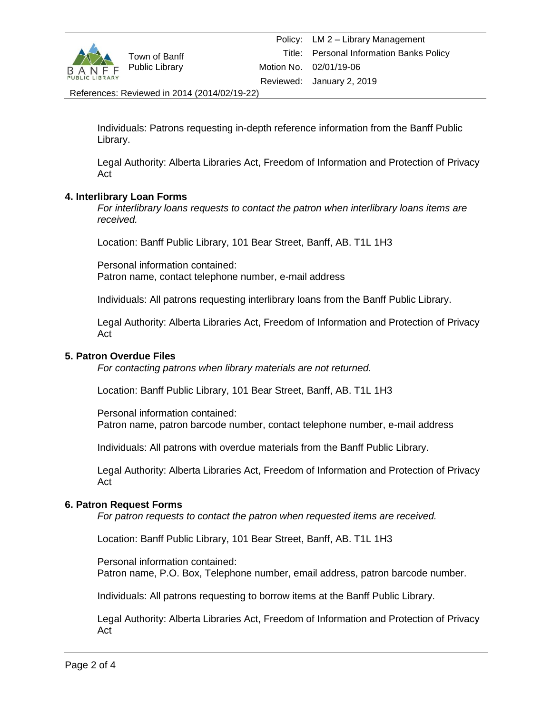

Individuals: Patrons requesting in-depth reference information from the Banff Public Library.

Legal Authority: Alberta Libraries Act, Freedom of Information and Protection of Privacy Act

## **4. Interlibrary Loan Forms**

*For interlibrary loans requests to contact the patron when interlibrary loans items are received.*

Location: Banff Public Library, 101 Bear Street, Banff, AB. T1L 1H3

Personal information contained: Patron name, contact telephone number, e-mail address

Individuals: All patrons requesting interlibrary loans from the Banff Public Library.

Legal Authority: Alberta Libraries Act, Freedom of Information and Protection of Privacy Act

### **5. Patron Overdue Files**

*For contacting patrons when library materials are not returned.*

Location: Banff Public Library, 101 Bear Street, Banff, AB. T1L 1H3

Personal information contained: Patron name, patron barcode number, contact telephone number, e-mail address

Individuals: All patrons with overdue materials from the Banff Public Library.

Legal Authority: Alberta Libraries Act, Freedom of Information and Protection of Privacy Act

# **6. Patron Request Forms**

*For patron requests to contact the patron when requested items are received.*

Location: Banff Public Library, 101 Bear Street, Banff, AB. T1L 1H3

Personal information contained: Patron name, P.O. Box, Telephone number, email address, patron barcode number.

Individuals: All patrons requesting to borrow items at the Banff Public Library.

Legal Authority: Alberta Libraries Act, Freedom of Information and Protection of Privacy Act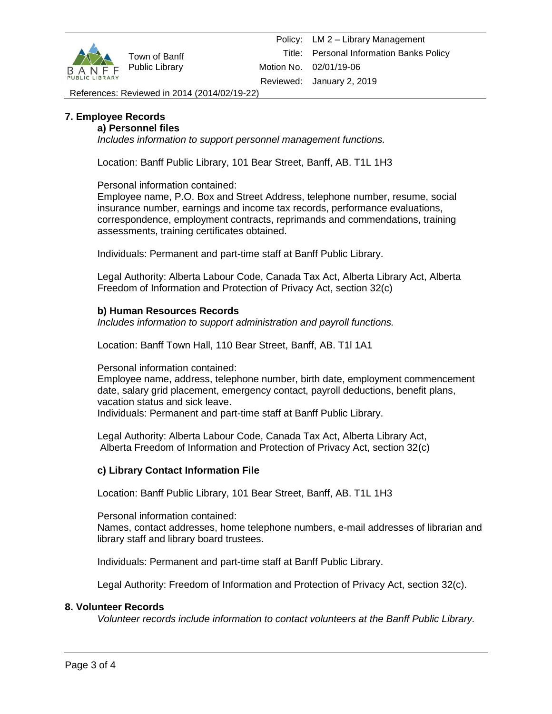

# **7. Employee Records**

# **a) Personnel files**

*Includes information to support personnel management functions.*

Location: Banff Public Library, 101 Bear Street, Banff, AB. T1L 1H3

Personal information contained:

Employee name, P.O. Box and Street Address, telephone number, resume, social insurance number, earnings and income tax records, performance evaluations, correspondence, employment contracts, reprimands and commendations, training assessments, training certificates obtained.

Individuals: Permanent and part-time staff at Banff Public Library.

Legal Authority: Alberta Labour Code, Canada Tax Act, Alberta Library Act, Alberta Freedom of Information and Protection of Privacy Act, section 32(c)

# **b) Human Resources Records**

*Includes information to support administration and payroll functions.*

Location: Banff Town Hall, 110 Bear Street, Banff, AB. T1l 1A1

Personal information contained:

Employee name, address, telephone number, birth date, employment commencement date, salary grid placement, emergency contact, payroll deductions, benefit plans, vacation status and sick leave.

Individuals: Permanent and part-time staff at Banff Public Library.

Legal Authority: Alberta Labour Code, Canada Tax Act, Alberta Library Act, Alberta Freedom of Information and Protection of Privacy Act, section 32(c)

## **c) Library Contact Information File**

Location: Banff Public Library, 101 Bear Street, Banff, AB. T1L 1H3

Personal information contained: Names, contact addresses, home telephone numbers, e-mail addresses of librarian and library staff and library board trustees.

Individuals: Permanent and part-time staff at Banff Public Library.

Legal Authority: Freedom of Information and Protection of Privacy Act, section 32(c).

## **8. Volunteer Records**

*Volunteer records include information to contact volunteers at the Banff Public Library.*